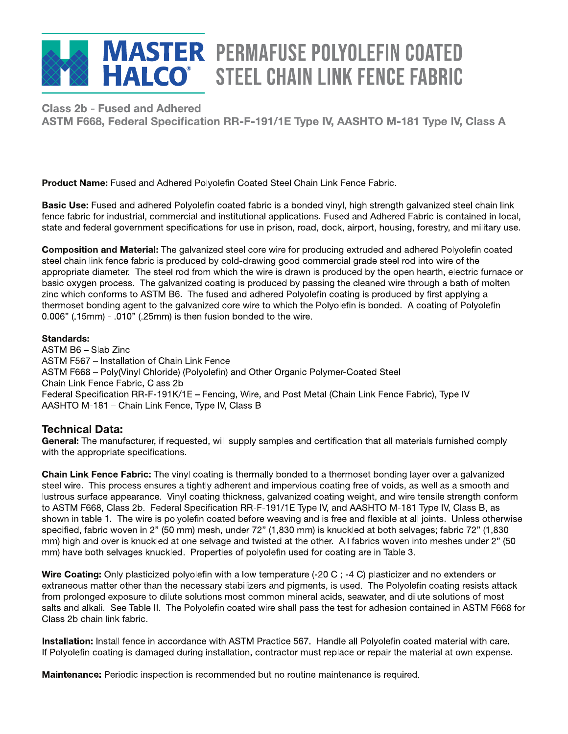# **MASTER PERMAFUSE POLYOLEFIN COATED HALCO**<sup>®</sup> STEEL CHAIN LINK FENCE FABRIC

**Class 2b - Fused and Adhered** FUSed and Adnered<br>} Eaderel Specification PP E 101/1E Type **Class 2b – Fused and Adhered**

**Product Name:** Fused and Adhered Polyolefin Coated Steel Chain Link Fence Fabric.

**Basic Use:** Fused and adhered Polyolefin coated fabric is a bonded vinyl, high strength galvanized steel chain link fence fabric for industrial, commercial and institutional applications. Fused and Adhered Fabric is contained in local, state and federal government specifications for use in prison, road, dock, airport, housing, forestry, and military use.

**Composition and Material:** The galvanized steel core wire for producing extruded and adhered Polyolefin coated steel chain link fence fabric is produced by cold-drawing good commercial grade steel rod into wire of the appropriate diameter. The steel rod from which the wire is drawn is produced by the open hearth, electric furnace or basic oxygen process. The galvanized coating is produced by passing the cleaned wire through a bath of molten zinc which conforms to ASTM B6. The fused and adhered Polyolefin coating is produced by first applying a thermoset bonding agent to the galvanized core wire to which the Polyolefin is bonded. A coating of Polyolefin  $0.006"$  (.15mm) - .010" (.25mm) is then fusion bonded to the wire.

#### **Standards:**

ASTM B6 – Slab Zinc ASTM F567 – Installation of Chain Link Fence ASTM F668 - Poly(Vinyl Chloride) (Polyolefin) and Other Organic Polymer-Coated Steel Chain Link Fence Fabric, Class 2b Federal Specification RR-F-191K/1E – Fencing, Wire, and Post Metal (Chain Link Fence Fabric), Type IV AASHTO M-181 – Chain Link Fence, Type IV, Class B

#### **Technical Data:**

General: The manufacturer, if requested, will supply samples and certification that all materials furnished comply with the appropriate specifications.

**Chain Link Fence Fabric:** The vinyl coating is thermally bonded to a thermoset bonding layer over a galvanized steel wire. This process ensures a tightly adherent and impervious coating free of voids, as well as a smooth and lustrous surface appearance. Vinyl coating thickness, galvanized coating weight, and wire tensile strength conform to ASTM F668, Class 2b. Federal Specification RR-F-191/1E Type IV, and AASHTO M-181 Type IV, Class B, as shown in table 1. The wire is polyolefin coated before weaving and is free and flexible at all joints. Unless otherwise specified, fabric woven in 2" (50 mm) mesh, under 72" (1,830 mm) is knuckled at both selvages; fabric 72" (1,830 mm) high and over is knuckled at one selvage and twisted at the other. All fabrics woven into meshes under 2" (50 mm) have both selvages knuckled. Properties of polyolefin used for coating are in Table 3.

**Wire Coating:** Only plasticized polyolefin with a low temperature (-20 C; -4 C) plasticizer and no extenders or extraneous matter other than the necessary stabilizers and pigments, is used. The Polyolefin coating resists attack from prolonged exposure to dilute solutions most common mineral acids, seawater, and dilute solutions of most salts and alkali. See Table II. The Polyolefin coated wire shall pass the test for adhesion contained in ASTM F668 for Class 2b chain link fabric.

**Installation:** Install fence in accordance with ASTM Practice 567. Handle all Polyolefin coated material with care. If Polyolefin coating is damaged during installation, contractor must replace or repair the material at own expense.

**Maintenance :** Periodic inspection is recommended but no routine maintenance is required.